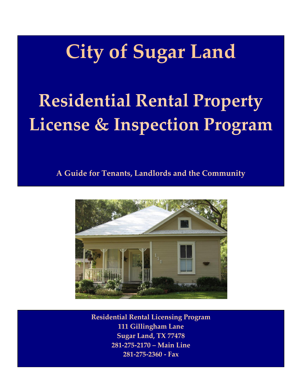# **City of Sugar Land**

# **Residential Rental Property License & Inspection Program**

**A Guide for Tenants, Landlords and the Community**



**Residential Rental Licensing Program 111 Gillingham Lane Sugar Land, TX 77478 281‐275‐2170 – Main Line 281‐275‐2360 ‐ Fax**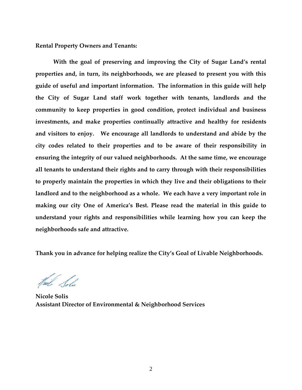**Rental Property Owners and Tenants:** 

**With the goal of preserving and improving the City of Sugar Land's rental properties and, in turn, its neighborhoods, we are pleased to present you with this guide of useful and important information. The information in this guide will help the City of Sugar Land staff work together with tenants, landlords and the community to keep properties in good condition, protect individual and business investments, and make properties continually attractive and healthy for residents and visitors to enjoy. We encourage all landlords to understand and abide by the city codes related to their properties and to be aware of their responsibility in ensuring the integrity of our valued neighborhoods. At the same time, we encourage all tenants to understand their rights and to carry through with their responsibilities to properly maintain the properties in which they live and their obligations to their landlord and to the neighborhood as a whole. We each have a very important role in making our city One of America's Best. Please read the material in this guide to understand your rights and responsibilities while learning how you can keep the neighborhoods safe and attractive.** 

**Thank you in advance for helping realize the City's Goal of Livable Neighborhoods.** 

**Nicole Solis Assistant Director of Environmental & Neighborhood Services**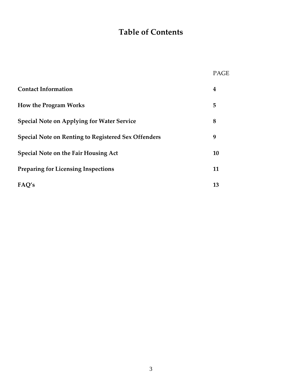# **Table of Contents**

|                                                            | PAGE |
|------------------------------------------------------------|------|
| <b>Contact Information</b>                                 | 4    |
| <b>How the Program Works</b>                               | 5    |
| <b>Special Note on Applying for Water Service</b>          | 8    |
| <b>Special Note on Renting to Registered Sex Offenders</b> | 9    |
| <b>Special Note on the Fair Housing Act</b>                | 10   |
| <b>Preparing for Licensing Inspections</b>                 | 11   |
| FAQ's                                                      | 13   |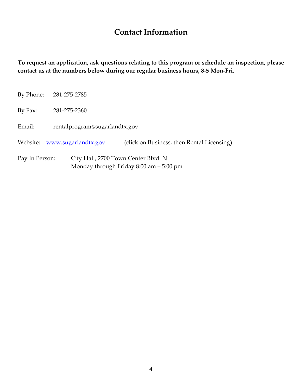# **Contact Information**

**To request an application, ask questions relating to this program or schedule an inspection, please contact us at the numbers below during our regular business hours, 8-5 Mon-Fri.** 

| By Phone:                                              | 281-275-2785                  |                                            |  |
|--------------------------------------------------------|-------------------------------|--------------------------------------------|--|
| By Fax:                                                | 281-275-2360                  |                                            |  |
| Email:                                                 | rentalprogram@sugarlandtx.gov |                                            |  |
|                                                        | Website: www.sugarlandtx.gov  | (click on Business, then Rental Licensing) |  |
| City Hall, 2700 Town Center Blvd. N.<br>Pay In Person: |                               |                                            |  |

Monday through Friday 8:00 am – 5:00 pm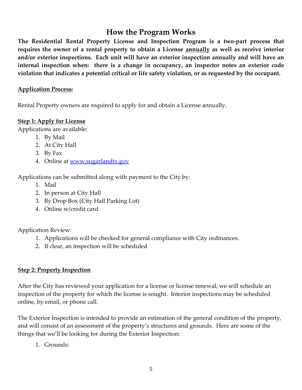## **How the Program Works**

**The Residential Rental Property License and Inspection Program is a two-part process that requires the owner of a rental property to obtain a License annually as well as receive interior and/or exterior inspections. Each unit will have an exterior inspection annually and will have an internal inspection when: there is a change in occupancy, an inspector notes an exterior code violation that indicates a potential critical or life safety violation, or as requested by the occupant.**

#### **Application Process:**

Rental Property owners are required to apply for and obtain a License annually.

#### **Step 1: Apply for License**

Applications are available:

- 1. By Mail
- 2. At City Hall
- 3. By Fax
- 4. Online at [www.sugarlandtx.gov](http://www.sugarlandtx.gov/)

Applications can be submitted along with payment to the City by:

- 1. Mail
- 2. In person at City Hall
- 3. By Drop Box (City Hall Parking Lot)
- 4. Online w/credit card

Application Review:

- 1. Applications will be checked for general compliance with City ordinances.
- 2. If clear, an inspection will be scheduled

#### **Step 2: Property Inspection**

After the City has reviewed your application for a license or license renewal, we will schedule an inspection of the property for which the license is sought. Interior inspections may be scheduled online, by email, or phone call.

The Exterior Inspection is intended to provide an estimation of the general condition of the property, and will consist of an assessment of the property's structures and grounds. Here are some of the things that we'll be looking for during the Exterior Inspection:

1. Grounds: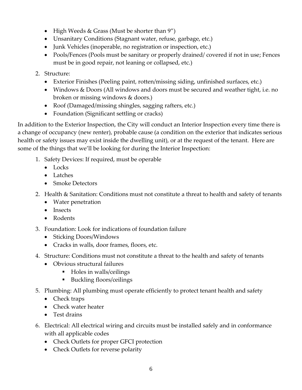- High Weeds & Grass (Must be shorter than  $9"$ )
- Unsanitary Conditions (Stagnant water, refuse, garbage, etc.)
- Junk Vehicles (inoperable, no registration or inspection, etc.)
- Pools/Fences (Pools must be sanitary or properly drained/ covered if not in use; Fences must be in good repair, not leaning or collapsed, etc.)
- 2. Structure:
	- Exterior Finishes (Peeling paint, rotten/missing siding, unfinished surfaces, etc.)
	- Windows & Doors (All windows and doors must be secured and weather tight, i.e. no broken or missing windows & doors.)
	- Roof (Damaged/missing shingles, sagging rafters, etc.)
	- Foundation (Significant settling or cracks)

In addition to the Exterior Inspection, the City will conduct an Interior Inspection every time there is a change of occupancy (new renter), probable cause (a condition on the exterior that indicates serious health or safety issues may exist inside the dwelling unit), or at the request of the tenant. Here are some of the things that we'll be looking for during the Interior Inspection:

- 1. Safety Devices: If required, must be operable
	- Locks
	- Latches
	- Smoke Detectors
- 2. Health & Sanitation: Conditions must not constitute a threat to health and safety of tenants
	- Water penetration
	- Insects
	- Rodents
- 3. Foundation: Look for indications of foundation failure
	- Sticking Doors/Windows
	- Cracks in walls, door frames, floors, etc.
- 4. Structure: Conditions must not constitute a threat to the health and safety of tenants
	- Obvious structural failures
		- Holes in walls/ceilings
		- Buckling floors/ceilings
- 5. Plumbing: All plumbing must operate efficiently to protect tenant health and safety
	- Check traps
	- Check water heater
	- Test drains
- 6. Electrical: All electrical wiring and circuits must be installed safely and in conformance with all applicable codes
	- Check Outlets for proper GFCI protection
	- Check Outlets for reverse polarity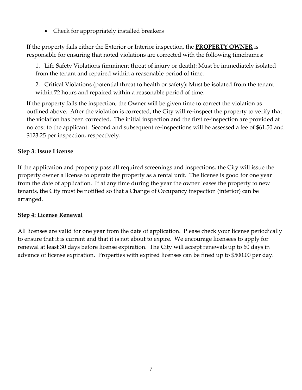Check for appropriately installed breakers

If the property fails either the Exterior or Interior inspection, the **PROPERTY OWNER** is responsible for ensuring that noted violations are corrected with the following timeframes:

1. Life Safety Violations (imminent threat of injury or death): Must be immediately isolated from the tenant and repaired within a reasonable period of time.

2. Critical Violations (potential threat to health or safety): Must be isolated from the tenant within 72 hours and repaired within a reasonable period of time.

If the property fails the inspection, the Owner will be given time to correct the violation as outlined above. After the violation is corrected, the City will re-inspect the property to verify that the violation has been corrected. The initial inspection and the first re-inspection are provided at no cost to the applicant. Second and subsequent re-inspections will be assessed a fee of \$61.50 and \$123.25 per inspection, respectively.

#### **Step 3: Issue License**

If the application and property pass all required screenings and inspections, the City will issue the property owner a license to operate the property as a rental unit. The license is good for one year from the date of application. If at any time during the year the owner leases the property to new tenants, the City must be notified so that a Change of Occupancy inspection (interior) can be arranged.

#### **Step 4: License Renewal**

All licenses are valid for one year from the date of application. Please check your license periodically to ensure that it is current and that it is not about to expire. We encourage licensees to apply for renewal at least 30 days before license expiration. The City will accept renewals up to 60 days in advance of license expiration. Properties with expired licenses can be fined up to \$500.00 per day.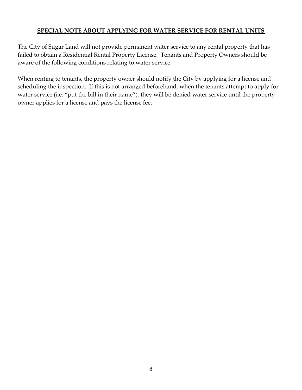#### **SPECIAL NOTE ABOUT APPLYING FOR WATER SERVICE FOR RENTAL UNITS**

The City of Sugar Land will not provide permanent water service to any rental property that has failed to obtain a Residential Rental Property License. Tenants and Property Owners should be aware of the following conditions relating to water service:

When renting to tenants, the property owner should notify the City by applying for a license and scheduling the inspection. If this is not arranged beforehand, when the tenants attempt to apply for water service (i.e. "put the bill in their name"), they will be denied water service until the property owner applies for a license and pays the license fee.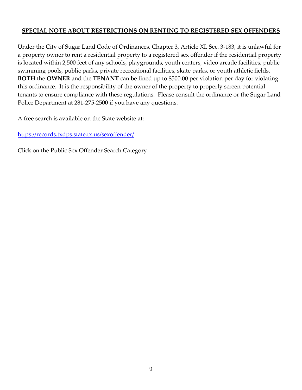#### **SPECIAL NOTE ABOUT RESTRICTIONS ON RENTING TO REGISTERED SEX OFFENDERS**

Under the City of Sugar Land Code of Ordinances, Chapter 3, Article XI, Sec. 3-183, it is unlawful for a property owner to rent a residential property to a registered sex offender if the residential property is located within 2,500 feet of any schools, playgrounds, youth centers, video arcade facilities, public swimming pools, public parks, private recreational facilities, skate parks, or youth athletic fields. **BOTH** the **OWNER** and the **TENANT** can be fined up to \$500.00 per violation per day for violating this ordinance. It is the responsibility of the owner of the property to properly screen potential tenants to ensure compliance with these regulations. Please consult the ordinance or the Sugar Land Police Department at 281-275-2500 if you have any questions.

A free search is available on the State website at:

<https://records.txdps.state.tx.us/sexoffender/>

Click on the Public Sex Offender Search Category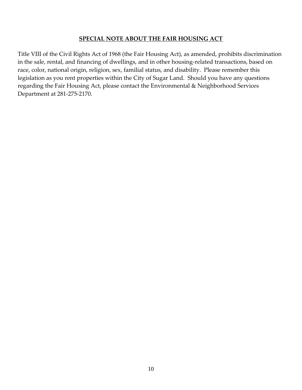#### **SPECIAL NOTE ABOUT THE FAIR HOUSING ACT**

Title VIII of the Civil Rights Act of 1968 (the Fair Housing Act), as amended, prohibits discrimination in the sale, rental, and financing of dwellings, and in other housing-related transactions, based on race, color, national origin, religion, sex, familial status, and disability. Please remember this legislation as you rent properties within the City of Sugar Land. Should you have any questions regarding the Fair Housing Act, please contact the Environmental & Neighborhood Services Department at 281-275-2170.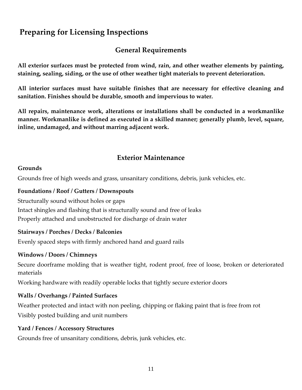# **Preparing for Licensing Inspections**

## **General Requirements**

**All exterior surfaces must be protected from wind, rain, and other weather elements by painting, staining, sealing, siding, or the use of other weather tight materials to prevent deterioration.** 

**All interior surfaces must have suitable finishes that are necessary for effective cleaning and sanitation. Finishes should be durable, smooth and impervious to water.** 

**All repairs, maintenance work, alterations or installations shall be conducted in a workmanlike manner. Workmanlike is defined as executed in a skilled manner; generally plumb, level, square, inline, undamaged, and without marring adjacent work.** 

## **Exterior Maintenance**

#### **Grounds**

Grounds free of high weeds and grass, unsanitary conditions, debris, junk vehicles, etc.

#### **Foundations / Roof / Gutters / Downspouts**

Structurally sound without holes or gaps Intact shingles and flashing that is structurally sound and free of leaks Properly attached and unobstructed for discharge of drain water

#### **Stairways / Porches / Decks / Balconies**

Evenly spaced steps with firmly anchored hand and guard rails

#### **Windows / Doors / Chimneys**

Secure doorframe molding that is weather tight, rodent proof, free of loose, broken or deteriorated materials

Working hardware with readily operable locks that tightly secure exterior doors

#### **Walls / Overhangs / Painted Surfaces**

Weather protected and intact with non peeling, chipping or flaking paint that is free from rot Visibly posted building and unit numbers

#### **Yard / Fences / Accessory Structures**

Grounds free of unsanitary conditions, debris, junk vehicles, etc.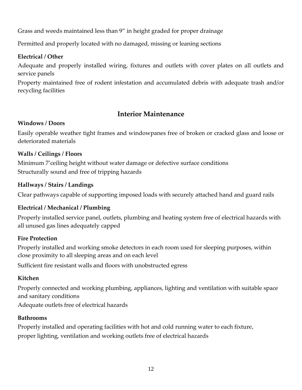Grass and weeds maintained less than 9" in height graded for proper drainage

Permitted and properly located with no damaged, missing or leaning sections

#### **Electrical / Other**

Adequate and properly installed wiring, fixtures and outlets with cover plates on all outlets and service panels

Property maintained free of rodent infestation and accumulated debris with adequate trash and/or recycling facilities

## **Interior Maintenance**

#### **Windows / Doors**

Easily operable weather tight frames and windowpanes free of broken or cracked glass and loose or deteriorated materials

#### **Walls / Ceilings / Floors**

Minimum 7'ceiling height without water damage or defective surface conditions Structurally sound and free of tripping hazards

#### **Hallways / Stairs / Landings**

Clear pathways capable of supporting imposed loads with securely attached hand and guard rails

### **Electrical / Mechanical / Plumbing**

Properly installed service panel, outlets, plumbing and heating system free of electrical hazards with all unused gas lines adequately capped

#### **Fire Protection**

Properly installed and working smoke detectors in each room used for sleeping purposes, within close proximity to all sleeping areas and on each level

Sufficient fire resistant walls and floors with unobstructed egress

### **Kitchen**

Properly connected and working plumbing, appliances, lighting and ventilation with suitable space and sanitary conditions

Adequate outlets free of electrical hazards

#### **Bathrooms**

Properly installed and operating facilities with hot and cold running water to each fixture, proper lighting, ventilation and working outlets free of electrical hazards